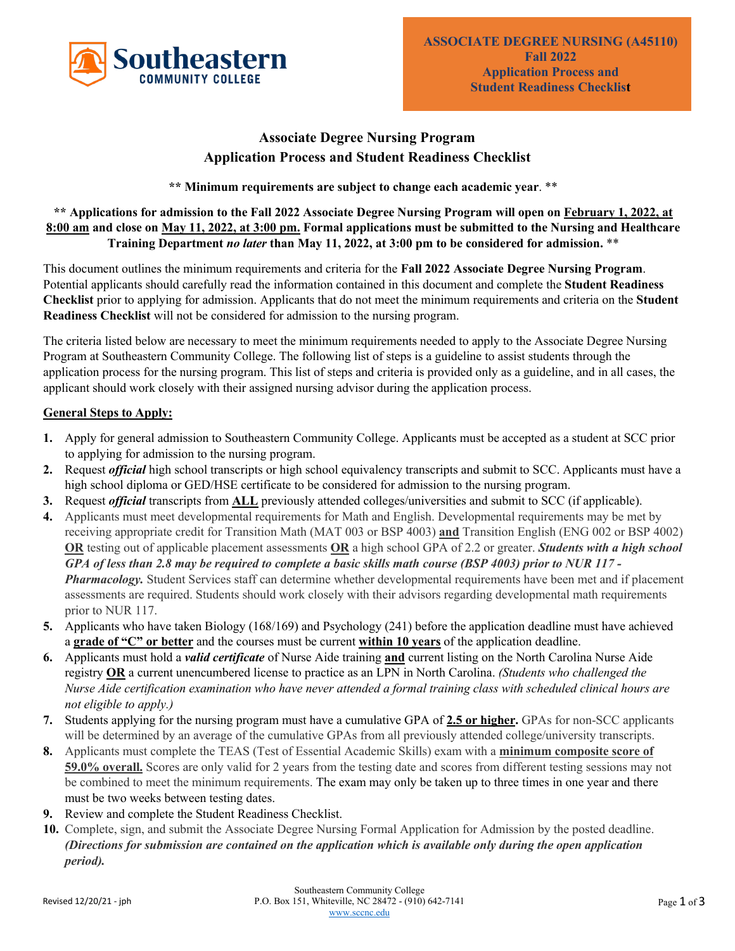

# **Associate Degree Nursing Program Application Process and Student Readiness Checklist**

**\*\* Minimum requirements are subject to change each academic year**. \*\*

**\*\* Applications for admission to the Fall 2022 Associate Degree Nursing Program will open on February 1, 2022, at 8:00 am and close on May 11, 2022, at 3:00 pm. Formal applications must be submitted to the Nursing and Healthcare Training Department** *no later* **than May 11, 2022, at 3:00 pm to be considered for admission.** \*\*

This document outlines the minimum requirements and criteria for the **Fall 2022 Associate Degree Nursing Program**. Potential applicants should carefully read the information contained in this document and complete the **Student Readiness Checklist** prior to applying for admission. Applicants that do not meet the minimum requirements and criteria on the **Student Readiness Checklist** will not be considered for admission to the nursing program.

The criteria listed below are necessary to meet the minimum requirements needed to apply to the Associate Degree Nursing Program at Southeastern Community College. The following list of steps is a guideline to assist students through the application process for the nursing program. This list of steps and criteria is provided only as a guideline, and in all cases, the applicant should work closely with their assigned nursing advisor during the application process.

## **General Steps to Apply:**

- **1.** Apply for general admission to Southeastern Community College. Applicants must be accepted as a student at SCC prior to applying for admission to the nursing program.
- **2.** Request *official* high school transcripts or high school equivalency transcripts and submit to SCC. Applicants must have a high school diploma or GED/HSE certificate to be considered for admission to the nursing program.
- **3.** Request *official* transcripts from **ALL** previously attended colleges/universities and submit to SCC (if applicable).
- **4.** Applicants must meet developmental requirements for Math and English. Developmental requirements may be met by receiving appropriate credit for Transition Math (MAT 003 or BSP 4003) **and** Transition English (ENG 002 or BSP 4002) **OR** testing out of applicable placement assessments **OR** a high school GPA of 2.2 or greater. *Students with a high school GPA of less than 2.8 may be required to complete a basic skills math course (BSP 4003) prior to NUR 117 - Pharmacology.* Student Services staff can determine whether developmental requirements have been met and if placement assessments are required. Students should work closely with their advisors regarding developmental math requirements prior to NUR 117.
- **5.** Applicants who have taken Biology (168/169) and Psychology (241) before the application deadline must have achieved a **grade of "C" or better** and the courses must be current **within 10 years** of the application deadline.
- **6.** Applicants must hold a *valid certificate* of Nurse Aide training **and** current listing on the North Carolina Nurse Aide registry **OR** a current unencumbered license to practice as an LPN in North Carolina. *(Students who challenged the Nurse Aide certification examination who have never attended a formal training class with scheduled clinical hours are not eligible to apply.)*
- **7.** Students applying for the nursing program must have a cumulative GPA of **2.5 or higher.** GPAs for non-SCC applicants will be determined by an average of the cumulative GPAs from all previously attended college/university transcripts.
- **8.** Applicants must complete the TEAS (Test of Essential Academic Skills) exam with a **minimum composite score of 59.0% overall.** Scores are only valid for 2 years from the testing date and scores from different testing sessions may not be combined to meet the minimum requirements. The exam may only be taken up to three times in one year and there must be two weeks between testing dates.
- **9.** Review and complete the Student Readiness Checklist.
- **10.** Complete, sign, and submit the Associate Degree Nursing Formal Application for Admission by the posted deadline. *(Directions for submission are contained on the application which is available only during the open application period).*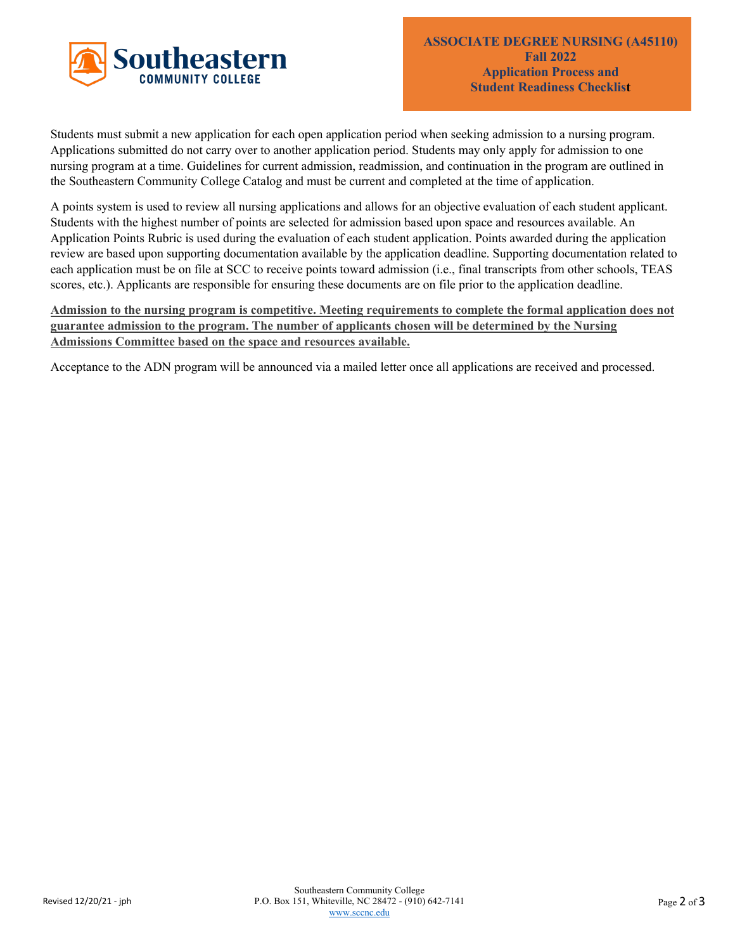

Students must submit a new application for each open application period when seeking admission to a nursing program. Applications submitted do not carry over to another application period. Students may only apply for admission to one nursing program at a time. Guidelines for current admission, readmission, and continuation in the program are outlined in the Southeastern Community College Catalog and must be current and completed at the time of application.

A points system is used to review all nursing applications and allows for an objective evaluation of each student applicant. Students with the highest number of points are selected for admission based upon space and resources available. An Application Points Rubric is used during the evaluation of each student application. Points awarded during the application review are based upon supporting documentation available by the application deadline. Supporting documentation related to each application must be on file at SCC to receive points toward admission (i.e., final transcripts from other schools, TEAS scores, etc.). Applicants are responsible for ensuring these documents are on file prior to the application deadline.

**Admission to the nursing program is competitive. Meeting requirements to complete the formal application does not guarantee admission to the program. The number of applicants chosen will be determined by the Nursing Admissions Committee based on the space and resources available.**

Acceptance to the ADN program will be announced via a mailed letter once all applications are received and processed.